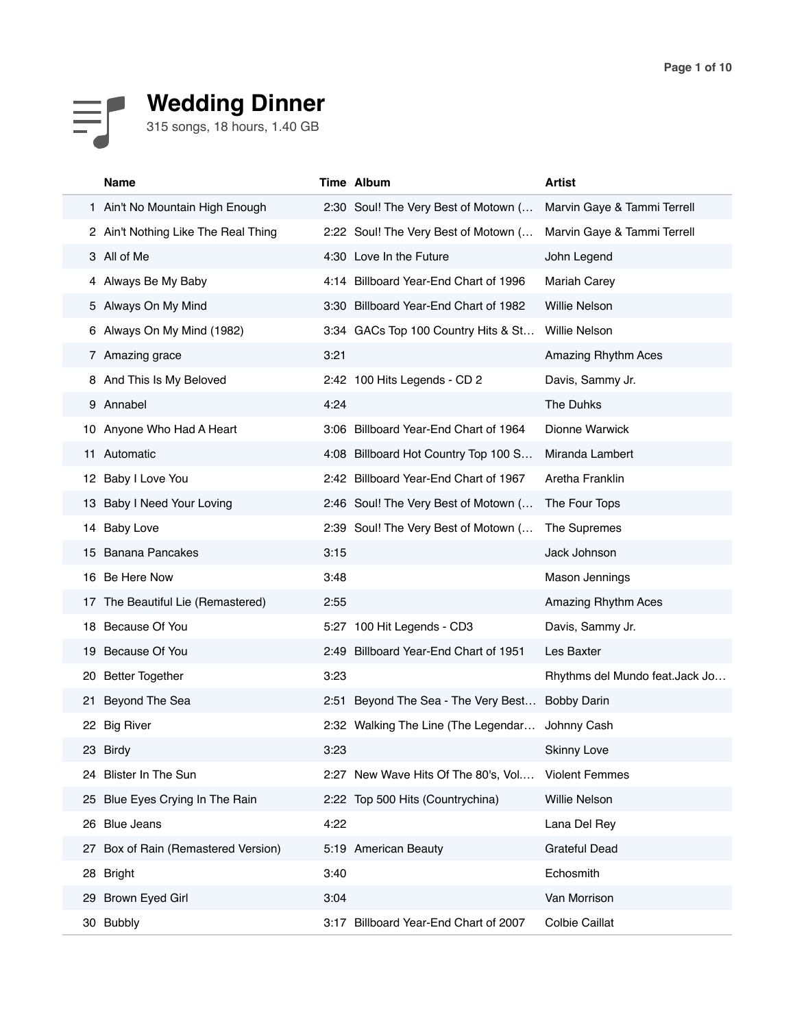

# **Wedding Dinner**

315 songs, 18 hours, 1.40 GB

|    | Name                                |      | Time Album                            | <b>Artist</b>                  |
|----|-------------------------------------|------|---------------------------------------|--------------------------------|
|    | 1 Ain't No Mountain High Enough     |      | 2:30 Soul! The Very Best of Motown (  | Marvin Gaye & Tammi Terrell    |
|    | 2 Ain't Nothing Like The Real Thing |      | 2:22 Soul! The Very Best of Motown (  | Marvin Gaye & Tammi Terrell    |
|    | 3 All of Me                         |      | 4:30 Love In the Future               | John Legend                    |
|    | 4 Always Be My Baby                 |      | 4:14 Billboard Year-End Chart of 1996 | <b>Mariah Carey</b>            |
|    | 5 Always On My Mind                 |      | 3:30 Billboard Year-End Chart of 1982 | Willie Nelson                  |
|    | 6 Always On My Mind (1982)          |      | 3:34 GACs Top 100 Country Hits & St   | Willie Nelson                  |
|    | 7 Amazing grace                     | 3:21 |                                       | Amazing Rhythm Aces            |
| 8  | And This Is My Beloved              |      | 2:42 100 Hits Legends - CD 2          | Davis, Sammy Jr.               |
| 9  | Annabel                             | 4:24 |                                       | The Duhks                      |
|    | 10 Anyone Who Had A Heart           |      | 3:06 Billboard Year-End Chart of 1964 | Dionne Warwick                 |
|    | 11 Automatic                        |      | 4:08 Billboard Hot Country Top 100 S  | Miranda Lambert                |
|    | 12 Baby I Love You                  |      | 2:42 Billboard Year-End Chart of 1967 | Aretha Franklin                |
| 13 | Baby I Need Your Loving             |      | 2:46 Soul! The Very Best of Motown (  | The Four Tops                  |
| 14 | <b>Baby Love</b>                    |      | 2:39 Soul! The Very Best of Motown (  | The Supremes                   |
| 15 | <b>Banana Pancakes</b>              | 3:15 |                                       | Jack Johnson                   |
|    | 16 Be Here Now                      | 3:48 |                                       | Mason Jennings                 |
|    | 17 The Beautiful Lie (Remastered)   | 2:55 |                                       | Amazing Rhythm Aces            |
|    | 18 Because Of You                   |      | 5:27 100 Hit Legends - CD3            | Davis, Sammy Jr.               |
| 19 | Because Of You                      |      | 2:49 Billboard Year-End Chart of 1951 | Les Baxter                     |
| 20 | <b>Better Together</b>              | 3:23 |                                       | Rhythms del Mundo feat.Jack Jo |
| 21 | Beyond The Sea                      |      | 2:51 Beyond The Sea - The Very Best   | <b>Bobby Darin</b>             |
|    | 22 Big River                        |      | 2:32 Walking The Line (The Legendar   | Johnny Cash                    |
| 23 | <b>Birdy</b>                        | 3:23 |                                       | <b>Skinny Love</b>             |
|    | 24 Blister In The Sun               |      | 2:27 New Wave Hits Of The 80's, Vol   | <b>Violent Femmes</b>          |
|    | 25 Blue Eyes Crying In The Rain     |      | 2:22 Top 500 Hits (Countrychina)      | Willie Nelson                  |
| 26 | <b>Blue Jeans</b>                   | 4:22 |                                       | Lana Del Rey                   |
| 27 | Box of Rain (Remastered Version)    |      | 5:19 American Beauty                  | <b>Grateful Dead</b>           |
|    | 28 Bright                           | 3:40 |                                       | Echosmith                      |
|    | 29 Brown Eyed Girl                  | 3:04 |                                       | Van Morrison                   |
|    | 30 Bubbly                           |      | 3:17 Billboard Year-End Chart of 2007 | Colbie Caillat                 |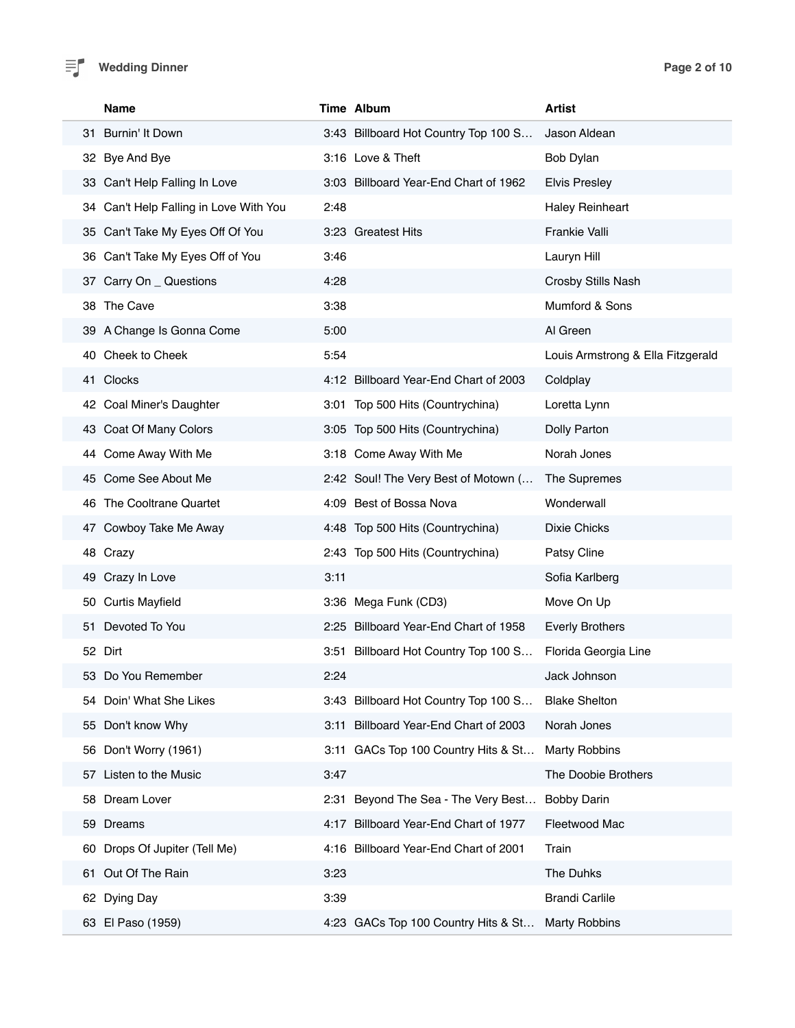## **Wedding Dinner Page 2 of 10**

| Name                                   |      | Time Album                            | <b>Artist</b>                     |
|----------------------------------------|------|---------------------------------------|-----------------------------------|
| 31 Burnin' It Down                     |      | 3:43 Billboard Hot Country Top 100 S  | Jason Aldean                      |
| 32 Bye And Bye                         |      | 3:16 Love & Theft                     | Bob Dylan                         |
| 33 Can't Help Falling In Love          |      | 3:03 Billboard Year-End Chart of 1962 | <b>Elvis Presley</b>              |
| 34 Can't Help Falling in Love With You | 2:48 |                                       | <b>Haley Reinheart</b>            |
| 35 Can't Take My Eyes Off Of You       |      | 3:23 Greatest Hits                    | <b>Frankie Valli</b>              |
| 36 Can't Take My Eyes Off of You       | 3:46 |                                       | Lauryn Hill                       |
| 37 Carry On _ Questions                | 4:28 |                                       | Crosby Stills Nash                |
| 38 The Cave                            | 3:38 |                                       | Mumford & Sons                    |
| 39 A Change Is Gonna Come              | 5:00 |                                       | Al Green                          |
| 40 Cheek to Cheek                      | 5:54 |                                       | Louis Armstrong & Ella Fitzgerald |
| 41 Clocks                              |      | 4:12 Billboard Year-End Chart of 2003 | Coldplay                          |
| 42 Coal Miner's Daughter               |      | 3:01 Top 500 Hits (Countrychina)      | Loretta Lynn                      |
| 43 Coat Of Many Colors                 |      | 3:05 Top 500 Hits (Countrychina)      | Dolly Parton                      |
| 44 Come Away With Me                   |      | 3:18 Come Away With Me                | Norah Jones                       |
| 45 Come See About Me                   |      | 2:42 Soul! The Very Best of Motown (  | The Supremes                      |
| 46 The Cooltrane Quartet               |      | 4:09 Best of Bossa Nova               | Wonderwall                        |
| 47 Cowboy Take Me Away                 |      | 4:48 Top 500 Hits (Countrychina)      | <b>Dixie Chicks</b>               |
| 48 Crazy                               |      | 2:43 Top 500 Hits (Countrychina)      | Patsy Cline                       |
| 49 Crazy In Love                       | 3:11 |                                       | Sofia Karlberg                    |
| <b>Curtis Mayfield</b><br>50           |      | 3:36 Mega Funk (CD3)                  | Move On Up                        |
| 51 Devoted To You                      |      | 2:25 Billboard Year-End Chart of 1958 | <b>Everly Brothers</b>            |
| 52 Dirt                                |      | 3:51 Billboard Hot Country Top 100 S  | Florida Georgia Line              |
| 53 Do You Remember                     | 2:24 |                                       | Jack Johnson                      |
| 54 Doin' What She Likes                |      | 3:43 Billboard Hot Country Top 100 S  | <b>Blake Shelton</b>              |
| Don't know Why<br>55                   | 3:11 | Billboard Year-End Chart of 2003      | Norah Jones                       |
| Don't Worry (1961)<br>56               | 3:11 | GACs Top 100 Country Hits & St        | <b>Marty Robbins</b>              |
| Listen to the Music<br>57              | 3:47 |                                       | The Doobie Brothers               |
| 58 Dream Lover                         | 2:31 | Beyond The Sea - The Very Best        | <b>Bobby Darin</b>                |
| 59 Dreams                              | 4:17 | Billboard Year-End Chart of 1977      | Fleetwood Mac                     |
| Drops Of Jupiter (Tell Me)<br>60       |      | 4:16 Billboard Year-End Chart of 2001 | Train                             |
| Out Of The Rain<br>61                  | 3:23 |                                       | The Duhks                         |
| Dying Day<br>62                        | 3:39 |                                       | <b>Brandi Carlile</b>             |
| 63 El Paso (1959)                      | 4:23 | GACs Top 100 Country Hits & St        | <b>Marty Robbins</b>              |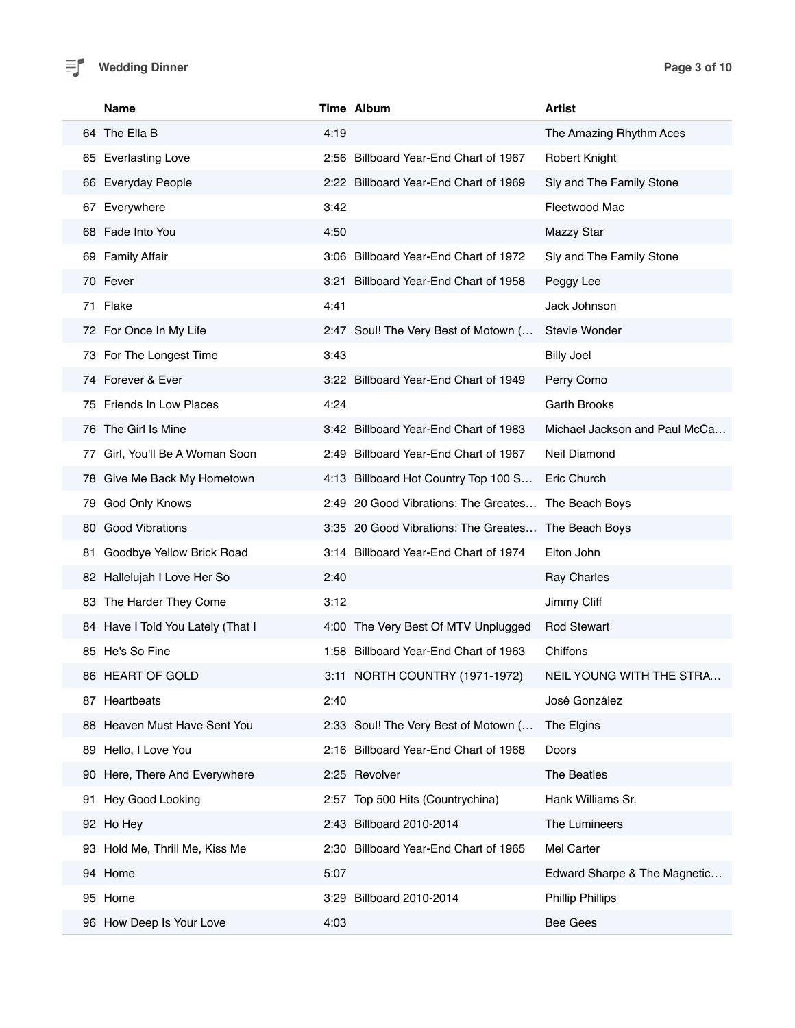## **Wedding Dinner Page 3 of 10**

|     | <b>Name</b>                       |      | Time Album                                          | <b>Artist</b>                 |
|-----|-----------------------------------|------|-----------------------------------------------------|-------------------------------|
|     | 64 The Ella B                     | 4:19 |                                                     | The Amazing Rhythm Aces       |
|     | 65 Everlasting Love               |      | 2:56 Billboard Year-End Chart of 1967               | <b>Robert Knight</b>          |
|     | 66 Everyday People                |      | 2:22 Billboard Year-End Chart of 1969               | Sly and The Family Stone      |
| 67  | Everywhere                        | 3:42 |                                                     | Fleetwood Mac                 |
|     | 68 Fade Into You                  | 4:50 |                                                     | <b>Mazzy Star</b>             |
|     | 69 Family Affair                  |      | 3:06 Billboard Year-End Chart of 1972               | Sly and The Family Stone      |
|     | 70 Fever                          |      | 3:21 Billboard Year-End Chart of 1958               | Peggy Lee                     |
|     | 71 Flake                          | 4:41 |                                                     | Jack Johnson                  |
|     | 72 For Once In My Life            |      | 2:47 Soul! The Very Best of Motown (                | <b>Stevie Wonder</b>          |
|     | 73 For The Longest Time           | 3:43 |                                                     | <b>Billy Joel</b>             |
|     | 74 Forever & Ever                 |      | 3:22 Billboard Year-End Chart of 1949               | Perry Como                    |
|     | 75 Friends In Low Places          | 4:24 |                                                     | <b>Garth Brooks</b>           |
|     | 76 The Girl Is Mine               |      | 3:42 Billboard Year-End Chart of 1983               | Michael Jackson and Paul McCa |
| 77  | Girl, You'll Be A Woman Soon      |      | 2:49 Billboard Year-End Chart of 1967               | Neil Diamond                  |
|     | 78 Give Me Back My Hometown       |      | 4:13 Billboard Hot Country Top 100 S                | Eric Church                   |
| 79  | God Only Knows                    |      | 2:49 20 Good Vibrations: The Greates                | The Beach Boys                |
|     | 80 Good Vibrations                |      | 3:35 20 Good Vibrations: The Greates The Beach Boys |                               |
| 81. | Goodbye Yellow Brick Road         |      | 3:14 Billboard Year-End Chart of 1974               | Elton John                    |
|     | 82 Hallelujah I Love Her So       | 2:40 |                                                     | Ray Charles                   |
|     | 83 The Harder They Come           | 3:12 |                                                     | Jimmy Cliff                   |
|     | 84 Have I Told You Lately (That I |      | 4:00 The Very Best Of MTV Unplugged                 | <b>Rod Stewart</b>            |
|     | 85 He's So Fine                   |      | 1:58 Billboard Year-End Chart of 1963               | Chiffons                      |
|     | 86 HEART OF GOLD                  |      | 3:11 NORTH COUNTRY (1971-1972)                      | NEIL YOUNG WITH THE STRA      |
|     | 87 Heartbeats                     | 2:40 |                                                     | José González                 |
|     | 88 Heaven Must Have Sent You      |      | 2:33 Soul! The Very Best of Motown (                | The Elgins                    |
|     | 89 Hello, I Love You              |      | 2:16 Billboard Year-End Chart of 1968               | Doors                         |
|     | 90 Here, There And Everywhere     |      | 2:25 Revolver                                       | The Beatles                   |
| 91. | Hey Good Looking                  |      | 2:57 Top 500 Hits (Countrychina)                    | Hank Williams Sr.             |
|     | 92 Ho Hey                         |      | 2:43 Billboard 2010-2014                            | The Lumineers                 |
|     | 93 Hold Me, Thrill Me, Kiss Me    |      | 2:30 Billboard Year-End Chart of 1965               | Mel Carter                    |
|     | 94 Home                           | 5:07 |                                                     | Edward Sharpe & The Magnetic  |
|     | 95 Home                           |      | 3:29 Billboard 2010-2014                            | <b>Phillip Phillips</b>       |
|     | 96 How Deep Is Your Love          | 4:03 |                                                     | <b>Bee Gees</b>               |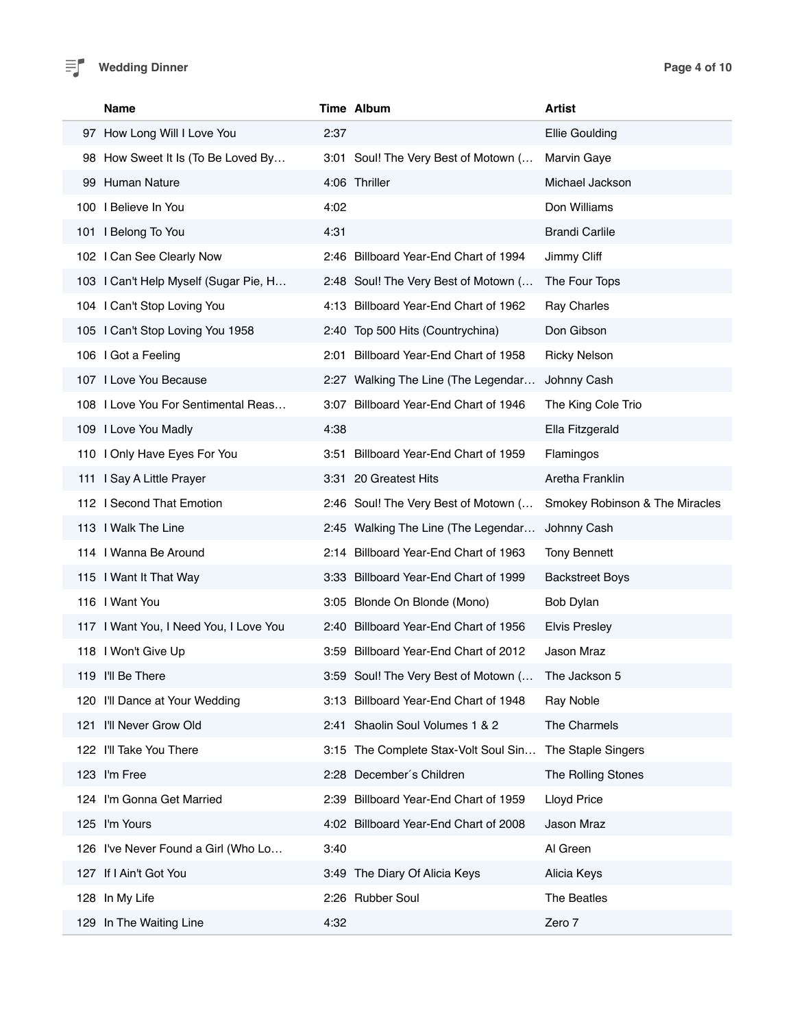| <b>Name</b>                            |      | Time Album                            | <b>Artist</b>                  |
|----------------------------------------|------|---------------------------------------|--------------------------------|
| 97 How Long Will I Love You            | 2:37 |                                       | <b>Ellie Goulding</b>          |
| 98 How Sweet It Is (To Be Loved By     |      | 3:01 Soul! The Very Best of Motown (  | <b>Marvin Gaye</b>             |
| 99 Human Nature                        |      | 4:06 Thriller                         | Michael Jackson                |
| 100   Believe In You                   | 4:02 |                                       | Don Williams                   |
| 101 I Belong To You                    | 4:31 |                                       | <b>Brandi Carlile</b>          |
| 102 I Can See Clearly Now              |      | 2:46 Billboard Year-End Chart of 1994 | Jimmy Cliff                    |
| 103 I Can't Help Myself (Sugar Pie, H  |      | 2:48 Soul! The Very Best of Motown (  | The Four Tops                  |
| 104 I Can't Stop Loving You            |      | 4:13 Billboard Year-End Chart of 1962 | Ray Charles                    |
| 105 I Can't Stop Loving You 1958       |      | 2:40 Top 500 Hits (Countrychina)      | Don Gibson                     |
| 106 I Got a Feeling                    | 2:01 | Billboard Year-End Chart of 1958      | <b>Ricky Nelson</b>            |
| 107 I Love You Because                 |      | 2:27 Walking The Line (The Legendar   | Johnny Cash                    |
| 108 I Love You For Sentimental Reas    |      | 3:07 Billboard Year-End Chart of 1946 | The King Cole Trio             |
| 109 I Love You Madly                   | 4:38 |                                       | Ella Fitzgerald                |
| 110 I Only Have Eyes For You           |      | 3:51 Billboard Year-End Chart of 1959 | Flamingos                      |
| 111 I Say A Little Prayer              |      | 3:31 20 Greatest Hits                 | Aretha Franklin                |
| 112 I Second That Emotion              |      | 2:46 Soul! The Very Best of Motown (  | Smokey Robinson & The Miracles |
| 113 I Walk The Line                    |      | 2:45 Walking The Line (The Legendar   | Johnny Cash                    |
| 114 I Wanna Be Around                  |      | 2:14 Billboard Year-End Chart of 1963 | <b>Tony Bennett</b>            |
| 115 I Want It That Way                 |      | 3:33 Billboard Year-End Chart of 1999 | <b>Backstreet Boys</b>         |
| 116   Want You                         |      | 3:05 Blonde On Blonde (Mono)          | Bob Dylan                      |
| 117 I Want You, I Need You, I Love You |      | 2:40 Billboard Year-End Chart of 1956 | <b>Elvis Presley</b>           |
| 118 I Won't Give Up                    | 3:59 | Billboard Year-End Chart of 2012      | Jason Mraz                     |
| 119 I'll Be There                      |      | 3:59 Soul! The Very Best of Motown (  | The Jackson 5                  |
| 120 I'll Dance at Your Wedding         |      | 3:13 Billboard Year-End Chart of 1948 | Ray Noble                      |
| 121 I'll Never Grow Old                |      | 2:41 Shaolin Soul Volumes 1 & 2       | The Charmels                   |
| 122 I'll Take You There                | 3:15 | The Complete Stax-Volt Soul Sin       | The Staple Singers             |
| 123 I'm Free                           | 2:28 | December's Children                   | The Rolling Stones             |
| 124 I'm Gonna Get Married              | 2:39 | Billboard Year-End Chart of 1959      | Lloyd Price                    |
| 125 I'm Yours                          |      | 4:02 Billboard Year-End Chart of 2008 | Jason Mraz                     |
| 126 I've Never Found a Girl (Who Lo    | 3:40 |                                       | Al Green                       |
| 127 If I Ain't Got You                 | 3:49 | The Diary Of Alicia Keys              | Alicia Keys                    |
| 128 In My Life                         |      | 2:26 Rubber Soul                      | The Beatles                    |
| 129 In The Waiting Line                | 4:32 |                                       | Zero 7                         |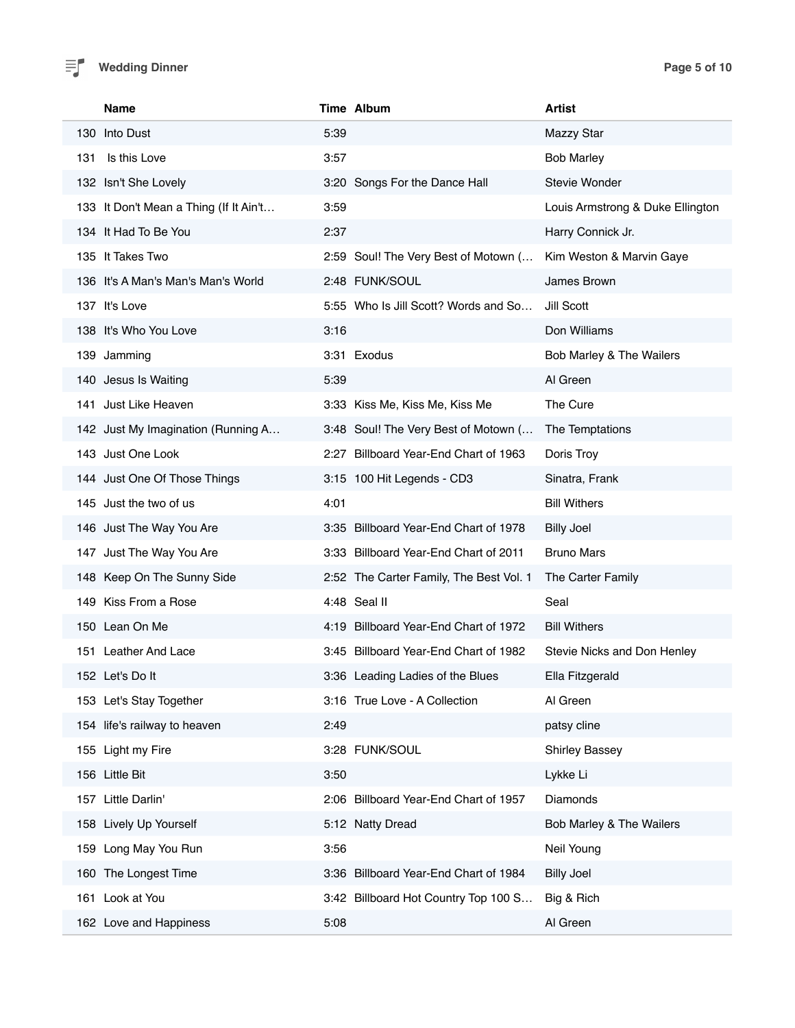## **Wedding Dinner Page 5 of 10**

|     | <b>Name</b>                            |      | Time Album                              | <b>Artist</b>                    |
|-----|----------------------------------------|------|-----------------------------------------|----------------------------------|
|     | 130 Into Dust                          | 5:39 |                                         | <b>Mazzy Star</b>                |
| 131 | Is this Love                           | 3:57 |                                         | <b>Bob Marley</b>                |
|     | 132 Isn't She Lovely                   |      | 3:20 Songs For the Dance Hall           | Stevie Wonder                    |
|     | 133 It Don't Mean a Thing (If It Ain't | 3:59 |                                         | Louis Armstrong & Duke Ellington |
|     | 134 It Had To Be You                   | 2:37 |                                         | Harry Connick Jr.                |
|     | 135 It Takes Two                       |      | 2:59 Soul! The Very Best of Motown (    | Kim Weston & Marvin Gaye         |
|     | 136 It's A Man's Man's Man's World     |      | 2:48 FUNK/SOUL                          | James Brown                      |
|     | 137 It's Love                          |      | 5:55 Who Is Jill Scott? Words and So    | Jill Scott                       |
|     | 138 It's Who You Love                  | 3:16 |                                         | Don Williams                     |
|     | 139 Jamming                            |      | 3:31 Exodus                             | Bob Marley & The Wailers         |
|     | 140 Jesus Is Waiting                   | 5:39 |                                         | Al Green                         |
|     | 141 Just Like Heaven                   |      | 3:33 Kiss Me, Kiss Me, Kiss Me          | The Cure                         |
|     | 142 Just My Imagination (Running A     |      | 3:48 Soul! The Very Best of Motown (    | The Temptations                  |
|     | 143 Just One Look                      |      | 2:27 Billboard Year-End Chart of 1963   | Doris Troy                       |
|     | 144 Just One Of Those Things           |      | 3:15 100 Hit Legends - CD3              | Sinatra, Frank                   |
|     | 145 Just the two of us                 | 4:01 |                                         | <b>Bill Withers</b>              |
|     | 146 Just The Way You Are               |      | 3:35 Billboard Year-End Chart of 1978   | <b>Billy Joel</b>                |
|     | 147 Just The Way You Are               |      | 3:33 Billboard Year-End Chart of 2011   | <b>Bruno Mars</b>                |
|     | 148 Keep On The Sunny Side             |      | 2:52 The Carter Family, The Best Vol. 1 | The Carter Family                |
|     | 149 Kiss From a Rose                   |      | 4:48 Seal II                            | Seal                             |
|     | 150 Lean On Me                         |      | 4:19 Billboard Year-End Chart of 1972   | <b>Bill Withers</b>              |
|     | 151 Leather And Lace                   |      | 3:45 Billboard Year-End Chart of 1982   | Stevie Nicks and Don Henley      |
|     | 152 Let's Dolt                         |      | 3:36 Leading Ladies of the Blues        | Ella Fitzgerald                  |
|     | 153 Let's Stay Together                |      | 3:16 True Love - A Collection           | Al Green                         |
|     | 154 life's railway to heaven           | 2:49 |                                         | patsy cline                      |
|     | 155 Light my Fire                      |      | 3:28 FUNK/SOUL                          | <b>Shirley Bassey</b>            |
|     | 156 Little Bit                         | 3:50 |                                         | Lykke Li                         |
|     | 157 Little Darlin'                     |      | 2:06 Billboard Year-End Chart of 1957   | Diamonds                         |
|     | 158 Lively Up Yourself                 |      | 5:12 Natty Dread                        | Bob Marley & The Wailers         |
|     | 159 Long May You Run                   | 3:56 |                                         | Neil Young                       |
|     | 160 The Longest Time                   |      | 3:36 Billboard Year-End Chart of 1984   | <b>Billy Joel</b>                |
|     | 161 Look at You                        |      | 3:42 Billboard Hot Country Top 100 S    | Big & Rich                       |
|     | 162 Love and Happiness                 | 5:08 |                                         | Al Green                         |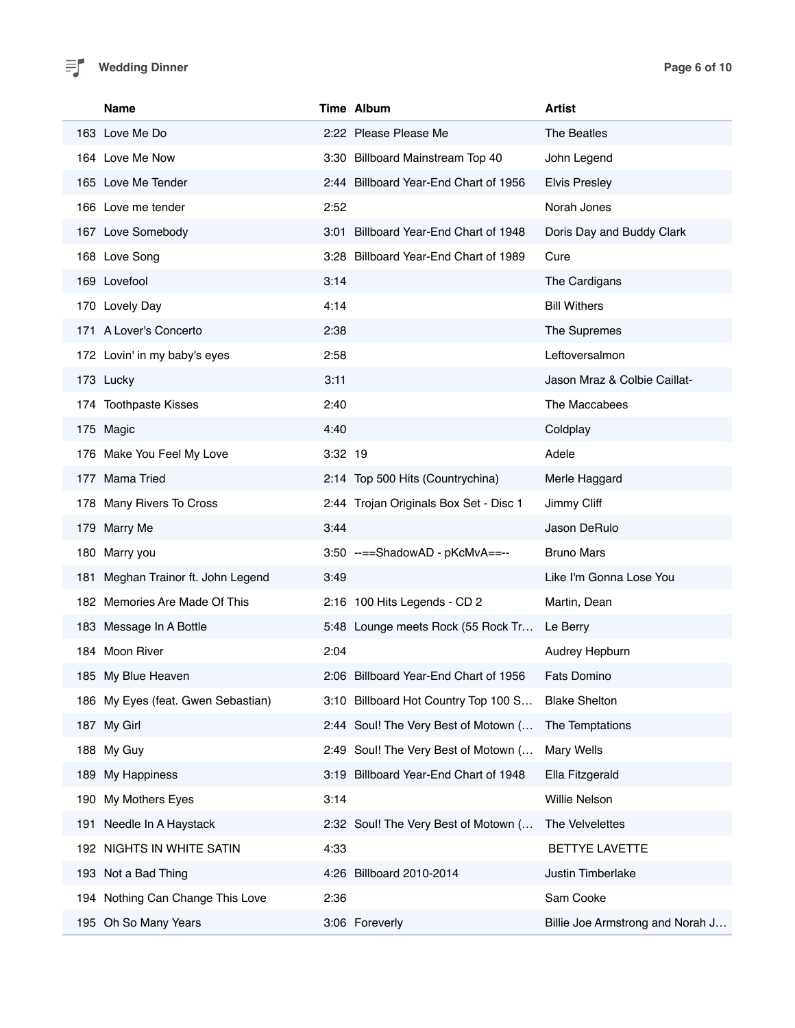### **Wedding Dinner Page 6 of 10**

|     | Name                               |         | Time Album                             | <b>Artist</b>                    |
|-----|------------------------------------|---------|----------------------------------------|----------------------------------|
|     | 163 Love Me Do                     |         | 2:22 Please Please Me                  | The Beatles                      |
|     | 164 Love Me Now                    |         | 3:30 Billboard Mainstream Top 40       | John Legend                      |
|     | 165 Love Me Tender                 |         | 2:44 Billboard Year-End Chart of 1956  | <b>Elvis Presley</b>             |
|     | 166 Love me tender                 | 2:52    |                                        | Norah Jones                      |
|     | 167 Love Somebody                  |         | 3:01 Billboard Year-End Chart of 1948  | Doris Day and Buddy Clark        |
|     | 168 Love Song                      |         | 3:28 Billboard Year-End Chart of 1989  | Cure                             |
|     | 169 Lovefool                       | 3:14    |                                        | The Cardigans                    |
|     | 170 Lovely Day                     | 4:14    |                                        | <b>Bill Withers</b>              |
|     | 171 A Lover's Concerto             | 2:38    |                                        | The Supremes                     |
|     | 172 Lovin' in my baby's eyes       | 2:58    |                                        | Leftoversalmon                   |
|     | 173 Lucky                          | 3:11    |                                        | Jason Mraz & Colbie Caillat-     |
|     | 174 Toothpaste Kisses              | 2:40    |                                        | The Maccabees                    |
|     | 175 Magic                          | 4:40    |                                        | Coldplay                         |
|     | 176 Make You Feel My Love          | 3:32 19 |                                        | Adele                            |
|     | 177 Mama Tried                     |         | 2:14 Top 500 Hits (Countrychina)       | Merle Haggard                    |
|     | 178 Many Rivers To Cross           |         | 2:44 Trojan Originals Box Set - Disc 1 | Jimmy Cliff                      |
|     | 179 Marry Me                       | 3:44    |                                        | Jason DeRulo                     |
|     | 180 Marry you                      |         | 3:50 --==ShadowAD - pKcMvA==--         | <b>Bruno Mars</b>                |
|     | 181 Meghan Trainor ft. John Legend | 3:49    |                                        | Like I'm Gonna Lose You          |
|     | 182 Memories Are Made Of This      |         | 2:16 100 Hits Legends - CD 2           | Martin, Dean                     |
|     | 183 Message In A Bottle            |         | 5:48 Lounge meets Rock (55 Rock Tr     | Le Berry                         |
|     | 184 Moon River                     | 2:04    |                                        | Audrey Hepburn                   |
|     | 185 My Blue Heaven                 |         | 2:06 Billboard Year-End Chart of 1956  | <b>Fats Domino</b>               |
|     | 186 My Eyes (feat. Gwen Sebastian) |         | 3:10 Billboard Hot Country Top 100 S   | <b>Blake Shelton</b>             |
|     | 187 My Girl                        |         | 2:44 Soul! The Very Best of Motown (   | The Temptations                  |
|     | 188 My Guy                         | 2:49    | Soul! The Very Best of Motown (        | Mary Wells                       |
| 189 | My Happiness                       |         | 3:19 Billboard Year-End Chart of 1948  | Ella Fitzgerald                  |
| 190 | My Mothers Eyes                    | 3:14    |                                        | Willie Nelson                    |
|     | 191 Needle In A Haystack           |         | 2:32 Soul! The Very Best of Motown (   | The Velvelettes                  |
|     | 192 NIGHTS IN WHITE SATIN          | 4:33    |                                        | <b>BETTYE LAVETTE</b>            |
|     | 193 Not a Bad Thing                |         | 4:26 Billboard 2010-2014               | Justin Timberlake                |
|     | 194 Nothing Can Change This Love   | 2:36    |                                        | Sam Cooke                        |
|     | 195 Oh So Many Years               |         | 3:06 Foreverly                         | Billie Joe Armstrong and Norah J |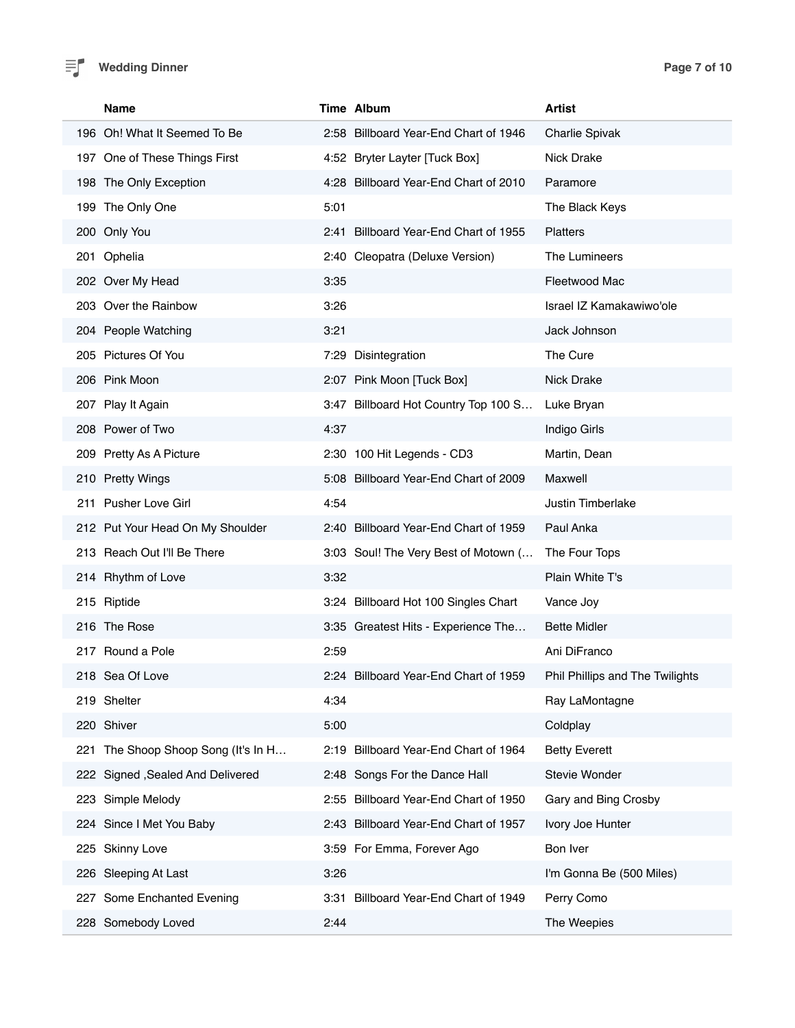

## **Wedding Dinner Page 7 of 10**

| <b>Name</b>                         | Time Album                               | <b>Artist</b>                   |
|-------------------------------------|------------------------------------------|---------------------------------|
| 196 Oh! What It Seemed To Be        | 2:58 Billboard Year-End Chart of 1946    | Charlie Spivak                  |
| 197 One of These Things First       | 4:52 Bryter Layter [Tuck Box]            | Nick Drake                      |
| 198 The Only Exception              | 4:28 Billboard Year-End Chart of 2010    | Paramore                        |
| 199 The Only One                    | 5:01                                     | The Black Keys                  |
| 200 Only You                        | 2:41 Billboard Year-End Chart of 1955    | <b>Platters</b>                 |
| 201 Ophelia                         | 2:40 Cleopatra (Deluxe Version)          | The Lumineers                   |
| 202 Over My Head                    | 3:35                                     | Fleetwood Mac                   |
| 203 Over the Rainbow                | 3:26                                     | Israel IZ Kamakawiwo'ole        |
| 204 People Watching                 | 3:21                                     | Jack Johnson                    |
| 205 Pictures Of You                 | Disintegration<br>7:29                   | The Cure                        |
| 206 Pink Moon                       | 2:07 Pink Moon [Tuck Box]                | <b>Nick Drake</b>               |
| 207 Play It Again                   | 3:47 Billboard Hot Country Top 100 S     | Luke Bryan                      |
| 208 Power of Two                    | 4:37                                     | Indigo Girls                    |
| 209 Pretty As A Picture             | 2:30 100 Hit Legends - CD3               | Martin, Dean                    |
| 210 Pretty Wings                    | 5:08 Billboard Year-End Chart of 2009    | Maxwell                         |
| 211 Pusher Love Girl                | 4:54                                     | Justin Timberlake               |
| 212 Put Your Head On My Shoulder    | 2:40 Billboard Year-End Chart of 1959    | Paul Anka                       |
| 213 Reach Out I'll Be There         | 3:03 Soul! The Very Best of Motown (     | The Four Tops                   |
| 214 Rhythm of Love                  | 3:32                                     | Plain White T's                 |
| 215 Riptide                         | 3:24 Billboard Hot 100 Singles Chart     | Vance Joy                       |
| 216 The Rose                        | 3:35 Greatest Hits - Experience The      | <b>Bette Midler</b>             |
| 217 Round a Pole                    | 2:59                                     | Ani DiFranco                    |
| 218 Sea Of Love                     | 2:24 Billboard Year-End Chart of 1959    | Phil Phillips and The Twilights |
| 219 Shelter                         | 4:34                                     | Ray LaMontagne                  |
| 220 Shiver                          | 5:00                                     | Coldplay                        |
| 221 The Shoop Shoop Song (It's In H | Billboard Year-End Chart of 1964<br>2:19 | <b>Betty Everett</b>            |
| 222 Signed , Sealed And Delivered   | 2:48 Songs For the Dance Hall            | Stevie Wonder                   |
| 223 Simple Melody                   | Billboard Year-End Chart of 1950<br>2:55 | Gary and Bing Crosby            |
| 224 Since I Met You Baby            | Billboard Year-End Chart of 1957<br>2:43 | Ivory Joe Hunter                |
| 225 Skinny Love                     | 3:59 For Emma, Forever Ago               | Bon Iver                        |
| 226 Sleeping At Last                | 3:26                                     | I'm Gonna Be (500 Miles)        |
| Some Enchanted Evening<br>227       | Billboard Year-End Chart of 1949<br>3:31 | Perry Como                      |
| 228 Somebody Loved                  | 2:44                                     | The Weepies                     |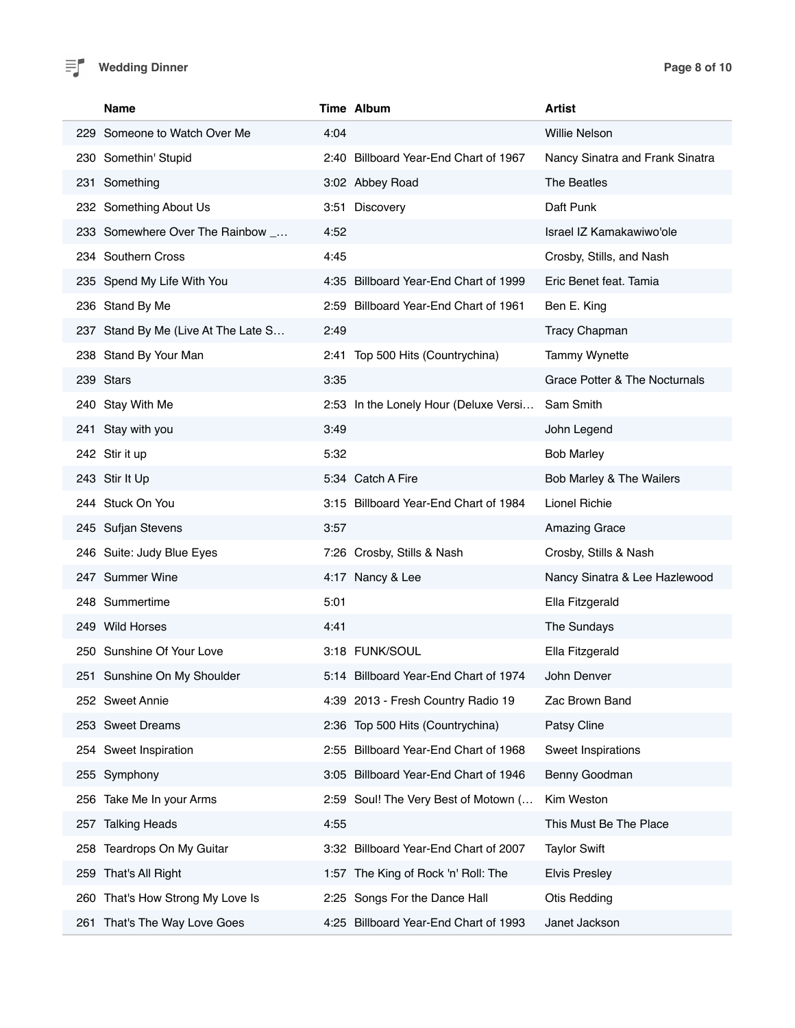

|     | Name                                |      | <b>Time Album</b>                     | Artist                          |
|-----|-------------------------------------|------|---------------------------------------|---------------------------------|
|     | 229 Someone to Watch Over Me        | 4:04 |                                       | Willie Nelson                   |
|     | 230 Somethin' Stupid                |      | 2:40 Billboard Year-End Chart of 1967 | Nancy Sinatra and Frank Sinatra |
|     | 231 Something                       |      | 3:02 Abbey Road                       | The Beatles                     |
|     | 232 Something About Us              |      | 3:51 Discovery                        | Daft Punk                       |
|     | 233 Somewhere Over The Rainbow _    | 4:52 |                                       | Israel IZ Kamakawiwo'ole        |
|     | 234 Southern Cross                  | 4:45 |                                       | Crosby, Stills, and Nash        |
|     | 235 Spend My Life With You          |      | 4:35 Billboard Year-End Chart of 1999 | Eric Benet feat. Tamia          |
|     | 236 Stand By Me                     |      | 2:59 Billboard Year-End Chart of 1961 | Ben E. King                     |
|     | 237 Stand By Me (Live At The Late S | 2:49 |                                       | <b>Tracy Chapman</b>            |
|     | 238 Stand By Your Man               |      | 2:41 Top 500 Hits (Countrychina)      | <b>Tammy Wynette</b>            |
|     | 239 Stars                           | 3:35 |                                       | Grace Potter & The Nocturnals   |
|     | 240 Stay With Me                    |      | 2:53 In the Lonely Hour (Deluxe Versi | Sam Smith                       |
|     | 241 Stay with you                   | 3:49 |                                       | John Legend                     |
|     | 242 Stir it up                      | 5:32 |                                       | <b>Bob Marley</b>               |
|     | 243 Stir It Up                      |      | 5:34 Catch A Fire                     | Bob Marley & The Wailers        |
|     | 244 Stuck On You                    |      | 3:15 Billboard Year-End Chart of 1984 | <b>Lionel Richie</b>            |
|     | 245 Sufjan Stevens                  | 3:57 |                                       | <b>Amazing Grace</b>            |
|     | 246 Suite: Judy Blue Eyes           |      | 7:26 Crosby, Stills & Nash            | Crosby, Stills & Nash           |
|     | 247 Summer Wine                     |      | 4:17 Nancy & Lee                      | Nancy Sinatra & Lee Hazlewood   |
|     | 248 Summertime                      | 5:01 |                                       | Ella Fitzgerald                 |
|     | 249 Wild Horses                     | 4:41 |                                       | The Sundays                     |
|     | 250 Sunshine Of Your Love           |      | 3:18 FUNK/SOUL                        | Ella Fitzgerald                 |
|     | 251 Sunshine On My Shoulder         |      | 5:14 Billboard Year-End Chart of 1974 | John Denver                     |
|     | 252 Sweet Annie                     |      | 4:39 2013 - Fresh Country Radio 19    | Zac Brown Band                  |
|     | 253 Sweet Dreams                    |      | 2:36 Top 500 Hits (Countrychina)      | Patsy Cline                     |
| 254 | Sweet Inspiration                   | 2:55 | Billboard Year-End Chart of 1968      | Sweet Inspirations              |
|     | 255 Symphony                        | 3:05 | Billboard Year-End Chart of 1946      | Benny Goodman                   |
|     | 256 Take Me In your Arms            | 2:59 | Soul! The Very Best of Motown (       | Kim Weston                      |
|     | 257 Talking Heads                   | 4:55 |                                       | This Must Be The Place          |
|     | 258 Teardrops On My Guitar          | 3:32 | Billboard Year-End Chart of 2007      | <b>Taylor Swift</b>             |
|     | 259 That's All Right                | 1:57 | The King of Rock 'n' Roll: The        | <b>Elvis Presley</b>            |
| 260 | That's How Strong My Love Is        | 2:25 | Songs For the Dance Hall              | <b>Otis Redding</b>             |
|     | 261 That's The Way Love Goes        |      | 4:25 Billboard Year-End Chart of 1993 | Janet Jackson                   |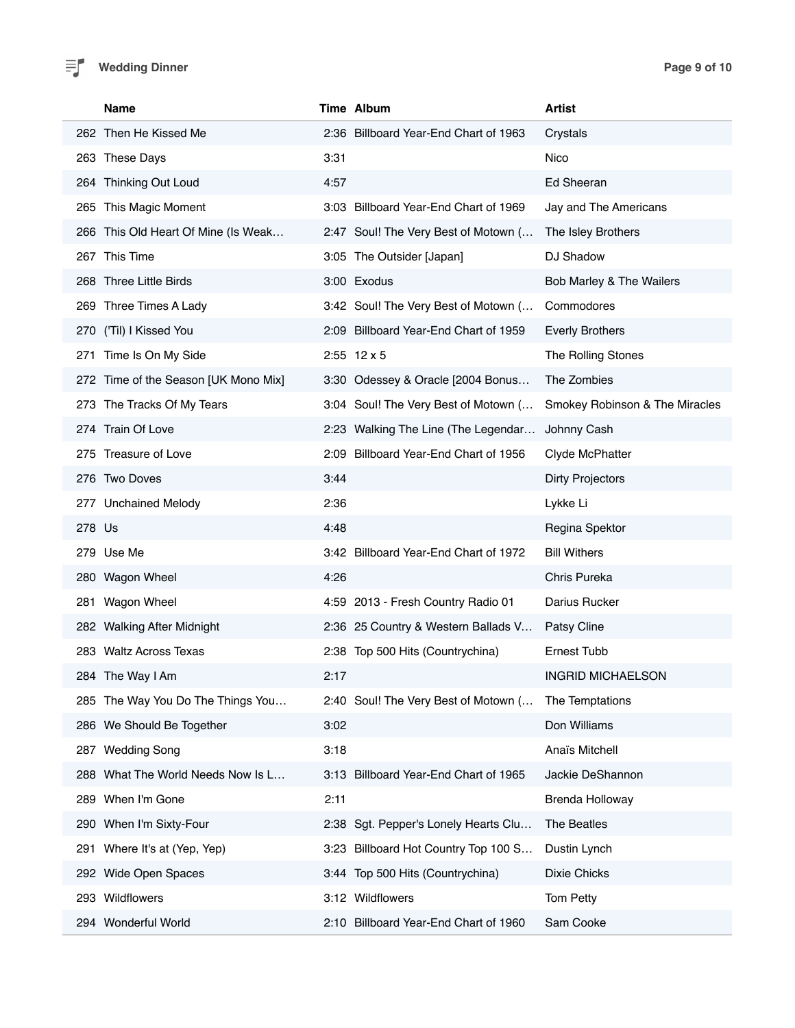

### **Wedding Dinner Page 9 of 10**

| <b>Name</b>                          | Time Album                            | <b>Artist</b>                  |
|--------------------------------------|---------------------------------------|--------------------------------|
| 262 Then He Kissed Me                | 2:36 Billboard Year-End Chart of 1963 | Crystals                       |
| 263 These Days                       | 3:31                                  | Nico                           |
| 264 Thinking Out Loud                | 4:57                                  | Ed Sheeran                     |
| 265 This Magic Moment                | 3:03 Billboard Year-End Chart of 1969 | Jay and The Americans          |
| 266 This Old Heart Of Mine (Is Weak  | 2:47 Soul! The Very Best of Motown (  | The Isley Brothers             |
| 267 This Time                        | 3:05 The Outsider [Japan]             | DJ Shadow                      |
| 268 Three Little Birds               | 3:00 Exodus                           | Bob Marley & The Wailers       |
| 269 Three Times A Lady               | 3:42 Soul! The Very Best of Motown (  | Commodores                     |
| 270 ('Til) I Kissed You              | 2:09 Billboard Year-End Chart of 1959 | <b>Everly Brothers</b>         |
| 271 Time Is On My Side               | $2:55$ 12 x 5                         | The Rolling Stones             |
| 272 Time of the Season [UK Mono Mix] | 3:30 Odessey & Oracle [2004 Bonus     | The Zombies                    |
| 273 The Tracks Of My Tears           | 3:04 Soul! The Very Best of Motown (  | Smokey Robinson & The Miracles |
| 274 Train Of Love                    | 2:23 Walking The Line (The Legendar   | Johnny Cash                    |
| 275 Treasure of Love                 | 2:09 Billboard Year-End Chart of 1956 | Clyde McPhatter                |
| 276 Two Doves                        | 3:44                                  | <b>Dirty Projectors</b>        |
| 277 Unchained Melody                 | 2:36                                  | Lykke Li                       |
| 278 Us                               | 4:48                                  | Regina Spektor                 |
| 279 Use Me                           | 3:42 Billboard Year-End Chart of 1972 | <b>Bill Withers</b>            |
| 280 Wagon Wheel                      | 4:26                                  | Chris Pureka                   |
| 281 Wagon Wheel                      | 4:59 2013 - Fresh Country Radio 01    | Darius Rucker                  |
| 282 Walking After Midnight           | 2:36 25 Country & Western Ballads V   | Patsy Cline                    |
| 283 Waltz Across Texas               | 2:38 Top 500 Hits (Countrychina)      | Ernest Tubb                    |
| 284 The Way I Am                     | 2:17                                  | INGRID MICHAELSON              |
| 285 The Way You Do The Things You    | 2:40 Soul! The Very Best of Motown (  | The Temptations                |
| 286 We Should Be Together            | 3:02                                  | Don Williams                   |
| 287 Wedding Song                     | 3:18                                  | Anaïs Mitchell                 |
| 288 What The World Needs Now Is L    | 3:13 Billboard Year-End Chart of 1965 | Jackie DeShannon               |
| 289 When I'm Gone                    | 2:11                                  | <b>Brenda Holloway</b>         |
| 290 When I'm Sixty-Four              | 2:38 Sgt. Pepper's Lonely Hearts Clu  | The Beatles                    |
| Where It's at (Yep, Yep)<br>291      | 3:23 Billboard Hot Country Top 100 S  | Dustin Lynch                   |
| 292 Wide Open Spaces                 | 3:44 Top 500 Hits (Countrychina)      | Dixie Chicks                   |
| 293 Wildflowers                      | 3:12 Wildflowers                      | Tom Petty                      |
| 294 Wonderful World                  | 2:10 Billboard Year-End Chart of 1960 | Sam Cooke                      |